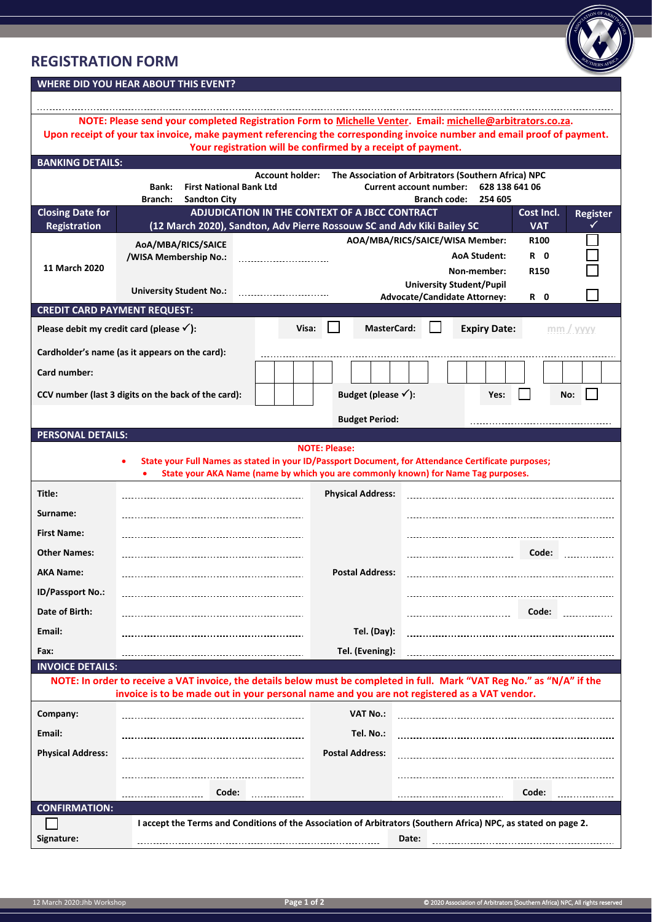## **REGISTRATION FORM**



## **WHERE DID YOU HEAR ABOUT THIS EVENT?**

| NOTE: Please send your completed Registration Form to Michelle Venter. Email: michelle@arbitrators.co.za.<br>Upon receipt of your tax invoice, make payment referencing the corresponding invoice number and email proof of payment. |                                                                                                                                                                                                                         |                        |                                                |                                                                                                                                                 |                                        |                      |  |
|--------------------------------------------------------------------------------------------------------------------------------------------------------------------------------------------------------------------------------------|-------------------------------------------------------------------------------------------------------------------------------------------------------------------------------------------------------------------------|------------------------|------------------------------------------------|-------------------------------------------------------------------------------------------------------------------------------------------------|----------------------------------------|----------------------|--|
| Your registration will be confirmed by a receipt of payment.                                                                                                                                                                         |                                                                                                                                                                                                                         |                        |                                                |                                                                                                                                                 |                                        |                      |  |
| <b>BANKING DETAILS:</b>                                                                                                                                                                                                              | <b>First National Bank Ltd</b><br><b>Bank:</b><br><b>Branch:</b><br><b>Sandton City</b>                                                                                                                                 | <b>Account holder:</b> |                                                | The Association of Arbitrators (Southern Africa) NPC<br><b>Current account number:</b><br>628 138 641 06<br><b>Branch code:</b><br>254 605      |                                        |                      |  |
| <b>Closing Date for</b><br>Registration                                                                                                                                                                                              | (12 March 2020), Sandton, Adv Pierre Rossouw SC and Adv Kiki Bailey SC                                                                                                                                                  |                        | ADJUDICATION IN THE CONTEXT OF A JBCC CONTRACT |                                                                                                                                                 | Cost Incl.<br><b>VAT</b>               | <b>Register</b><br>✓ |  |
| 11 March 2020                                                                                                                                                                                                                        | AoA/MBA/RICS/SAICE<br>/WISA Membership No.:<br><b>University Student No.:</b>                                                                                                                                           |                        |                                                | AOA/MBA/RICS/SAICE/WISA Member:<br><b>AoA Student:</b><br>Non-member:<br><b>University Student/Pupil</b><br><b>Advocate/Candidate Attorney:</b> | R100<br>R O<br>R <sub>150</sub><br>R 0 |                      |  |
| <b>CREDIT CARD PAYMENT REQUEST:</b>                                                                                                                                                                                                  |                                                                                                                                                                                                                         |                        |                                                |                                                                                                                                                 |                                        |                      |  |
| <b>MasterCard:</b><br><b>Expiry Date:</b><br>Please debit my credit card (please $\checkmark$ ):<br>Visa:<br>$mm$ / yyyy                                                                                                             |                                                                                                                                                                                                                         |                        |                                                |                                                                                                                                                 |                                        |                      |  |
| Cardholder's name (as it appears on the card):                                                                                                                                                                                       |                                                                                                                                                                                                                         |                        |                                                |                                                                                                                                                 |                                        |                      |  |
| Card number:                                                                                                                                                                                                                         |                                                                                                                                                                                                                         |                        |                                                |                                                                                                                                                 |                                        |                      |  |
| Budget (please $\checkmark$ ):<br>CCV number (last 3 digits on the back of the card):                                                                                                                                                |                                                                                                                                                                                                                         |                        | Yes:                                           |                                                                                                                                                 | No:                                    |                      |  |
|                                                                                                                                                                                                                                      |                                                                                                                                                                                                                         |                        | <b>Budget Period:</b>                          |                                                                                                                                                 |                                        |                      |  |
| <b>PERSONAL DETAILS:</b>                                                                                                                                                                                                             |                                                                                                                                                                                                                         |                        |                                                |                                                                                                                                                 |                                        |                      |  |
| <b>NOTE: Please:</b><br>State your Full Names as stated in your ID/Passport Document, for Attendance Certificate purposes;<br>State your AKA Name (name by which you are commonly known) for Name Tag purposes.                      |                                                                                                                                                                                                                         |                        |                                                |                                                                                                                                                 |                                        |                      |  |
| Title:                                                                                                                                                                                                                               |                                                                                                                                                                                                                         |                        | <b>Physical Address:</b>                       |                                                                                                                                                 |                                        |                      |  |
| Surname:                                                                                                                                                                                                                             |                                                                                                                                                                                                                         |                        |                                                |                                                                                                                                                 |                                        |                      |  |
| <b>First Name:</b>                                                                                                                                                                                                                   |                                                                                                                                                                                                                         |                        |                                                |                                                                                                                                                 |                                        |                      |  |
| <b>Other Names:</b>                                                                                                                                                                                                                  |                                                                                                                                                                                                                         |                        |                                                |                                                                                                                                                 | Code:                                  |                      |  |
| <b>AKA Name:</b>                                                                                                                                                                                                                     |                                                                                                                                                                                                                         |                        | <b>Postal Address:</b>                         |                                                                                                                                                 |                                        |                      |  |
| ID/Passport No.:                                                                                                                                                                                                                     |                                                                                                                                                                                                                         |                        |                                                |                                                                                                                                                 |                                        |                      |  |
| Date of Birth:                                                                                                                                                                                                                       |                                                                                                                                                                                                                         |                        |                                                |                                                                                                                                                 | Code:                                  |                      |  |
| Email:                                                                                                                                                                                                                               |                                                                                                                                                                                                                         |                        | Tel. (Day):                                    |                                                                                                                                                 |                                        |                      |  |
| Fax:                                                                                                                                                                                                                                 |                                                                                                                                                                                                                         |                        | Tel. (Evening):                                |                                                                                                                                                 |                                        |                      |  |
| <b>INVOICE DETAILS:</b>                                                                                                                                                                                                              |                                                                                                                                                                                                                         |                        |                                                |                                                                                                                                                 |                                        |                      |  |
|                                                                                                                                                                                                                                      | NOTE: In order to receive a VAT invoice, the details below must be completed in full. Mark "VAT Reg No." as "N/A" if the<br>invoice is to be made out in your personal name and you are not registered as a VAT vendor. |                        |                                                |                                                                                                                                                 |                                        |                      |  |
| Company:                                                                                                                                                                                                                             |                                                                                                                                                                                                                         |                        | <b>VAT No.:</b>                                |                                                                                                                                                 |                                        |                      |  |
| Email:                                                                                                                                                                                                                               |                                                                                                                                                                                                                         |                        | Tel. No.:                                      |                                                                                                                                                 |                                        |                      |  |
| <b>Physical Address:</b>                                                                                                                                                                                                             |                                                                                                                                                                                                                         |                        | <b>Postal Address:</b>                         |                                                                                                                                                 |                                        |                      |  |
|                                                                                                                                                                                                                                      | Code:                                                                                                                                                                                                                   |                        |                                                |                                                                                                                                                 | Code:                                  |                      |  |
| <b>CONFIRMATION:</b>                                                                                                                                                                                                                 |                                                                                                                                                                                                                         |                        |                                                |                                                                                                                                                 |                                        |                      |  |
|                                                                                                                                                                                                                                      |                                                                                                                                                                                                                         |                        |                                                | I accept the Terms and Conditions of the Association of Arbitrators (Southern Africa) NPC, as stated on page 2.                                 |                                        |                      |  |
| Signature:                                                                                                                                                                                                                           |                                                                                                                                                                                                                         |                        |                                                | Date:                                                                                                                                           |                                        |                      |  |